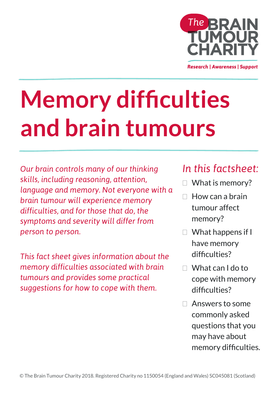

**Research | Awareness | Support** 

# **Memory difficulties and brain tumours**

*Our brain controls many of our thinking skills, including reasoning, attention, language and memory. Not everyone with a brain tumour will experience memory difficulties, and for those that do, the symptoms and severity will differ from person to person.* 

*This fact sheet gives information about the memory difficulties associated with brain tumours and provides some practical suggestions for how to cope with them.*

## *In this factsheet:*

- □ What is memory?
- $\Box$  How can a brain tumour affect memory?
- What happens if I have memory difficulties?
- What can I do to cope with memory difficulties?
- Answers to some commonly asked questions that you may have about memory difficulties.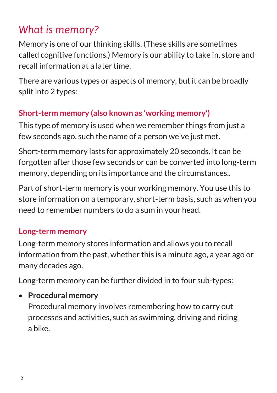## *What is memory?*

Memory is one of our thinking skills. (These skills are sometimes called cognitive functions.) Memory is our ability to take in, store and recall information at a later time.

There are various types or aspects of memory, but it can be broadly split into 2 types:

#### **Short-term memory (also known as 'working memory')**

This type of memory is used when we remember things from just a few seconds ago, such the name of a person we've just met.

Short-term memory lasts for approximately 20 seconds. It can be forgotten after those few seconds or can be converted into long-term memory, depending on its importance and the circumstances..

Part of short-term memory is your working memory. You use this to store information on a temporary, short-term basis, such as when you need to remember numbers to do a sum in your head.

### **Long-term memory**

Long-term memory stores information and allows you to recall information from the past, whether this is a minute ago, a year ago or many decades ago.

Long-term memory can be further divided in to four sub-types:

#### **Procedural memory**

Procedural memory involves remembering how to carry out processes and activities, such as swimming, driving and riding a bike.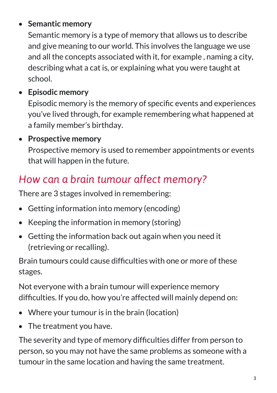#### **Semantic memory**

Semantic memory is a type of memory that allows us to describe and give meaning to our world. This involves the language we use and all the concepts associated with it, for example , naming a city, describing what a cat is, or explaining what you were taught at school.

**Episodic memory**

Episodic memory is the memory of specific events and experiences you've lived through, for example remembering what happened at a family member's birthday.

**Prospective memory**

Prospective memory is used to remember appointments or events that will happen in the future.

## *How can a brain tumour affect memory?*

There are 3 stages involved in remembering:

- Getting information into memory (encoding)
- Keeping the information in memory (storing)
- Getting the information back out again when you need it (retrieving or recalling).

Brain tumours could cause difficulties with one or more of these stages.

Not everyone with a brain tumour will experience memory difficulties. If you do, how you're affected will mainly depend on:

- Where your tumour is in the brain (location)
- The treatment you have.

The severity and type of memory difficulties differ from person to person, so you may not have the same problems as someone with a tumour in the same location and having the same treatment.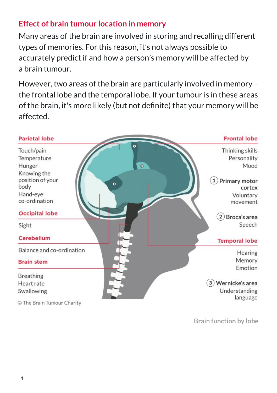#### **Effect of brain tumour location in memory**

Many areas of the brain are involved in storing and recalling different types of memories. For this reason, it's not always possible to accurately predict if and how a person's memory will be affected by a brain tumour.

However, two areas of the brain are particularly involved in memory – the [frontal lobe](https://www.thebraintumourcharity.org/understanding-brain-tumours/resources/jargon-buster/?letter=F#frontal-lobe) and the [temporal lobe.](https://www.thebraintumourcharity.org/understanding-brain-tumours/resources/jargon-buster/?letter=T#temporal-lobe) If your tumour is in these areas of the brain, it's more likely (but not definite) that your memory will be affected.



**Brain function by lobe**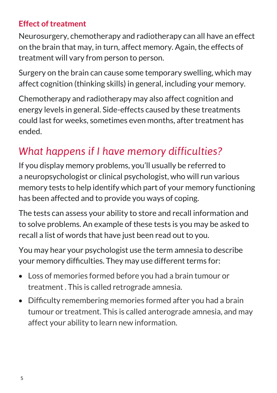#### **Effect of treatment**

Neurosurgery, chemotherapy and radiotherapy can all have an effect on the brain that may, in turn, affect memory. Again, the effects of treatment will vary from person to person.

Surgery on the brain can cause some temporary swelling, which may affect [cognition](https://www.thebraintumourcharity.org/understanding-brain-tumours/resources/jargon-buster/?letter=C#cognition) (thinking skills) in general, including your memory.

Chemotherapy and radiotherapy may also affect [cognition](https://www.thebraintumourcharity.org/understanding-brain-tumours/resources/jargon-buster/?letter=C#cognition) and energy levels in general. Side-effects caused by these treatments could last for weeks, sometimes even months, after treatment has ended.

## *What happens if I have memory difficulties?*

If you display memory problems, you'll usually be referred to a neuropsychologist or clinical psychologist, who will run various memory tests to help identify which part of your memory functioning has been affected and to provide you ways of coping.

The tests can assess your ability to store and recall information and to solve problems. An example of these tests is you may be asked to recall a list of words that have just been read out to you.

You may hear your psychologist use the term amnesia to describe your memory difficulties. They may use different terms for:

- Loss of memories formed before you had a brain tumour or treatment . This is called retrograde amnesia.
- Difficulty remembering memories formed after you had a brain tumour or treatment. This is called anterograde amnesia, and may affect your ability to learn new information.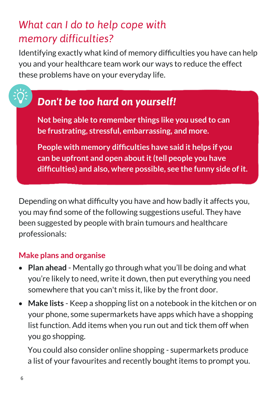## *What can I do to help cope with memory difficulties?*

Identifying exactly what kind of memory difficulties you have can help you and your healthcare team work our ways to reduce the effect these problems have on your everyday life.

## *Don't be too hard on yourself!*

**Not being able to remember things like you used to can be frustrating, stressful, embarrassing, and more.** 

**People with memory difficulties have said it helps if you can be upfront and open about it (tell people you have difficulties) and also, where possible, see the funny side of it.** 

Depending on what difficulty you have and how badly it affects you, you may find some of the following suggestions useful. They have been suggested by people with brain tumours and healthcare professionals:

#### **Make plans and organise**

- **Plan ahead** Mentally go through what you'll be doing and what you're likely to need, write it down, then put everything you need somewhere that you can't miss it, like by the front door.
- **Make lists** Keep a shopping list on a notebook in the kitchen or on your phone, some supermarkets have apps which have a shopping list function. Add items when you run out and tick them off when you go shopping.

You could also consider online shopping - supermarkets produce a list of your favourites and recently bought items to prompt you.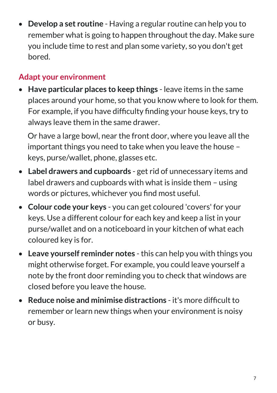**Develop a set routine** - Having a regular routine can help you to remember what is going to happen throughout the day. Make sure you include time to rest and plan some variety, so you don't get bored.

#### **Adapt your environment**

 **Have particular places to keep things** - leave items in the same places around your home, so that you know where to look for them. For example, if you have difficulty finding your house keys, try to always leave them in the same drawer.

Or have a large bowl, near the front door, where you leave all the important things you need to take when you leave the house – keys, purse/wallet, phone, glasses etc.

- **Label drawers and cupboards** get rid of unnecessary items and label drawers and cupboards with what is inside them – using words or pictures, whichever you find most useful.
- **Colour code your keys** you can get coloured 'covers' for your keys. Use a different colour for each key and keep a list in your purse/wallet and on a noticeboard in your kitchen of what each coloured key is for.
- **Leave yourself reminder notes** this can help you with things you might otherwise forget. For example, you could leave yourself a note by the front door reminding you to check that windows are closed before you leave the house.
- **Reduce noise and minimise distractions** it's more difficult to remember or learn new things when your environment is noisy or busy.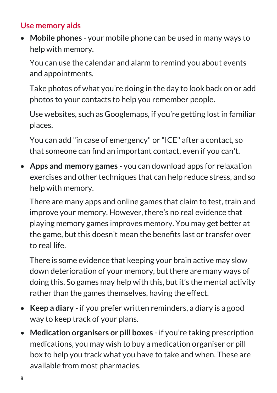#### **Use memory aids**

 **Mobile phones** - your mobile phone can be used in many ways to help with memory.

You can use the calendar and alarm to remind you about events and appointments.

Take photos of what you're doing in the day to look back on or add photos to your contacts to help you remember people.

Use websites, such as Googlemaps, if you're getting lost in familiar places.

You can add "in case of emergency" or "ICE" after a contact, so that someone can find an important contact, even if you can't.

 **Apps and memory games** - you can download apps for relaxation exercises and other techniques that can help reduce stress, and so help with memory.

There are many apps and online games that claim to test, train and improve your memory. However, there's no real evidence that playing memory games improves memory. You may get better at the game, but this doesn't mean the benefits last or transfer over to real life.

There is some evidence that keeping your brain active may slow down deterioration of your memory, but there are many ways of doing this. So games may help with this, but it's the mental activity rather than the games themselves, having the effect.

- **Keep a diary** if you prefer written reminders, a diary is a good way to keep track of your plans.
- **Medication organisers or pill boxes** if you're taking prescription medications, you may wish to buy a medication organiser or pill box to help you track what you have to take and when. These are available from most pharmacies.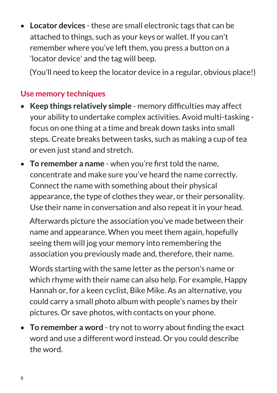**Locator devices** - these are small electronic tags that can be attached to things, such as your keys or wallet. If you can't remember where you've left them, you press a button on a 'locator device' and the tag will beep.

(You'll need to keep the locator device in a regular, obvious place!)

#### **Use memory techniques**

- **Keep things relatively simple** memory difficulties may affect your ability to undertake complex activities. Avoid multi-tasking focus on one thing at a time and break down tasks into small steps. Create breaks between tasks, such as making a cup of tea or even just stand and stretch.
- **To remember a name** when you're first told the name, concentrate and make sure you've heard the name correctly. Connect the name with something about their physical appearance, the type of clothes they wear, or their personality. Use their name in conversation and also repeat it in your head.

Afterwards picture the association you've made between their name and appearance. When you meet them again, hopefully seeing them will jog your memory into remembering the association you previously made and, therefore, their name.

Words starting with the same letter as the person's name or which rhyme with their name can also help. For example, Happy Hannah or, for a keen cyclist, Bike Mike. As an alternative, you could carry a small photo album with people's names by their pictures. Or save photos, with contacts on your phone.

 **To remember a word** - try not to worry about finding the exact word and use a different word instead. Or you could describe the word.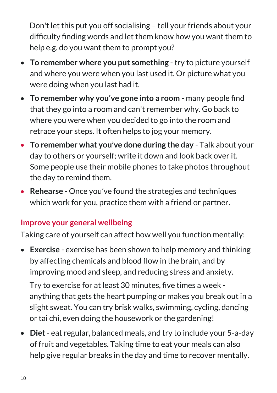Don't let this put you off socialising – tell your friends about your difficulty finding words and let them know how you want them to help e.g. do you want them to prompt you?

- **To remember where you put something** try to picture yourself and where you were when you last used it. Or picture what you were doing when you last had it.
- **To remember why you've gone into a room** many people find that they go into a room and can't remember why. Go back to where you were when you decided to go into the room and retrace your steps. It often helps to jog your memory.
- **To remember what you've done during the day** Talk about your day to others or yourself; write it down and look back over it. Some people use their mobile phones to take photos throughout the day to remind them.
- **Rehearse** Once you've found the strategies and techniques which work for you, practice them with a friend or partner.

#### **Improve your general wellbeing**

Taking care of yourself can affect how well you function mentally:

 **Exercise** - exercise has been shown to help memory and thinking by affecting chemicals and blood flow in the brain, and by improving mood and sleep, and reducing stress and anxiety.

Try to exercise for at least 30 minutes, five times a week anything that gets the heart pumping or makes you break out in a slight sweat. You can try brisk walks, swimming, cycling, dancing or tai chi, even doing the housework or the gardening!

 **Diet**- eat regular, balanced meals, and try to include your 5-a-day of fruit and vegetables. Taking time to eat your meals can also help give regular breaks in the day and time to recover mentally.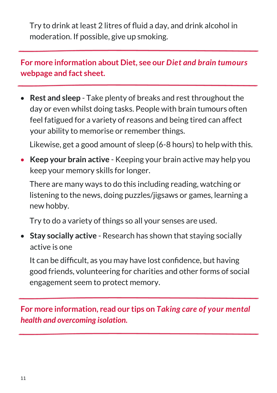Try to drink at least 2 litres of fluid a day, and drink alcohol in moderation. If possible, give up smoking.

**For more information about Diet, see our** *[Diet and brain tumours](https://www.thebraintumourcharity.org/understanding-brain-tumours/living-with-a-brain-tumour/diet-nutrition/)* **webpage and fact sheet.** 

 **Rest and sleep** - Take plenty of breaks and rest throughout the day or even whilst doing tasks. People with brain tumours often feel fatigued for a variety of reasons and being tired can affect your ability to memorise or remember things.

Likewise, get a good amount of sleep (6-8 hours) to help with this.

 **Keep your brain active** - Keeping your brain active may help you keep your memory skills for longer.

There are many ways to do this including reading, watching or listening to the news, doing puzzles/jigsaws or games, learning a new hobby.

Try to do a variety of things so all your senses are used.

 **Stay socially active** - Research has shown that staying socially active is one

It can be difficult, as you may have lost confidence, but having good friends, volunteering for charities and other forms of social engagement seem to protect memory.

**For more information, read our tips on** *T[aking care of your mental](https://www.thebraintumourcharity.org/get-support/taking-care-your-mental-health/)  [health and overcoming isolation.](https://www.thebraintumourcharity.org/get-support/taking-care-your-mental-health/)*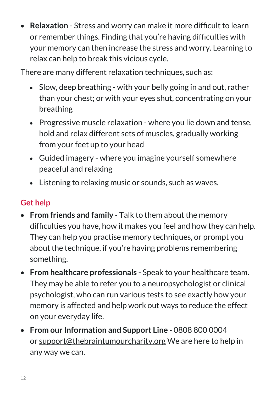**Relaxation** - Stress and worry can make it more difficult to learn or remember things. Finding that you're having difficulties with your memory can then increase the stress and worry. Learning to relax can help to break this vicious cycle.

There are many different relaxation techniques, such as:

- Slow, deep breathing with your belly going in and out, rather than your chest; or with your eyes shut, concentrating on your breathing
- Progressive muscle relaxation where you lie down and tense, hold and relax different sets of muscles, gradually working from your feet up to your head
- Guided imagery where you imagine yourself somewhere peaceful and relaxing
- Listening to relaxing music or sounds, such as waves.

#### **Get help**

- **From friends and family** Talk to them about the memory difficulties you have, how it makes you feel and how they can help. They can help you practise memory techniques, or prompt you about the technique, if you're having problems remembering something.
- **From healthcare professionals** Speak to your healthcare team. They may be able to refer you to a neuropsychologist or clinical psychologist, who can run various tests to see exactly how your memory is affected and help work out ways to reduce the effect on your everyday life.
- **From our Information and Support Line** 0808 800 0004 or [support@thebraintumourcharity.org](mailto:support@thebraintumourcharity.org) We are here to help in any way we can.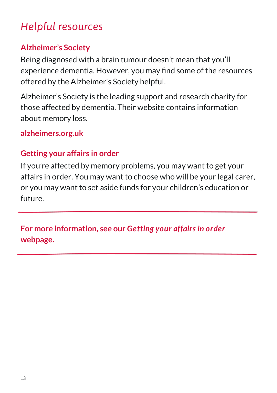## *Helpful resources*

#### **Alzheimer's Society**

Being diagnosed with a brain tumour doesn't mean that you'll experience dementia. However, you may find some of the resources offered by the Alzheimer's Society helpful.

Alzheimer's Society is the leading support and research charity for those affected by dementia. Their website contains information about memory loss.

#### **alzheimers.org.uk**

#### **Getting your affairs in order**

If you're affected by memory problems, you may want to get your affairs in order. You may want to choose who will be your legal carer, or you may want to set aside funds for your children's education or future.

**For more information, see our** *[Getting your affairs in order](https://www.thebraintumourcharity.org/understanding-brain-tumours/living-with-a-brain-tumour/getting-your-affairs-order/)* **webpage.** 

l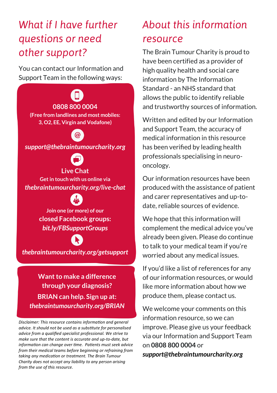## *What if I have further questions or need other support?*

You can contact our Information and Support Team in the following ways:

**0808 800 0004 (Free from landlines and most mobiles: 3, O2, EE, Virgin and Vodafone)**

*support[@thebraintumourcharity.org](mailto:info@thebraintumourcharity.org)*



**Live Chat Get in touch with us online via**  *[thebraintumourcharity.org/live](thebraintumourcharity.org/live-chat)-chat*



**Join one (or more) of our closed Facebook groups:**  *[bit.ly/FBSupportGroups](http://bit.ly/FBSupportGroups)*



*thebraintumourcharity.org/getsupport* 

**Want to make a difference through your diagnosis? BRIAN can help. Sign up at:** *thebraintumourcharity.org/BRIAN*

*Disclaimer: This resource contains information and general advice. It should not be used as a substitute for personalised advice from a qualified specialist professional. We strive to make sure that the content is accurate and up-to-date, but information can change over time. Patients must seek advice from their medical teams before beginning or refraining from taking any medication or treatment. The Brain Tumour Charity does not accept any liability to any person arising from the use of this resource.* 

# *About this information*

#### *resource*

The Brain Tumour Charity is proud to have been certified as a provider of high quality health and social care information by The Information Standard - an NHS standard that allows the public to identify reliable and trustworthy sources of information.

Written and edited by our Information and Support Team, the accuracy of medical information in this resource has been verified by leading health professionals specialising in neurooncology.

Our information resources have been produced with the assistance of patient and carer representatives and up-todate, reliable sources of evidence.

We hope that this information will complement the medical advice you've already been given. Please do continue to talk to your medical team if you're worried about any medical issues.

If you'd like a list of references for any of our information resources, or would like more information about how we produce them, please contact us.

We welcome your comments on this information resource, so we can improve. Please give us your feedback via our Information and Support Team on **0808 800 0004** or *[support@thebraintumourcharity.org](mailto:support@thebraintumourcharity.org)*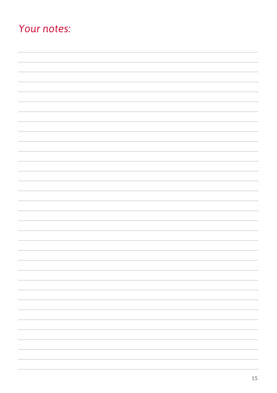## *Your notes:*